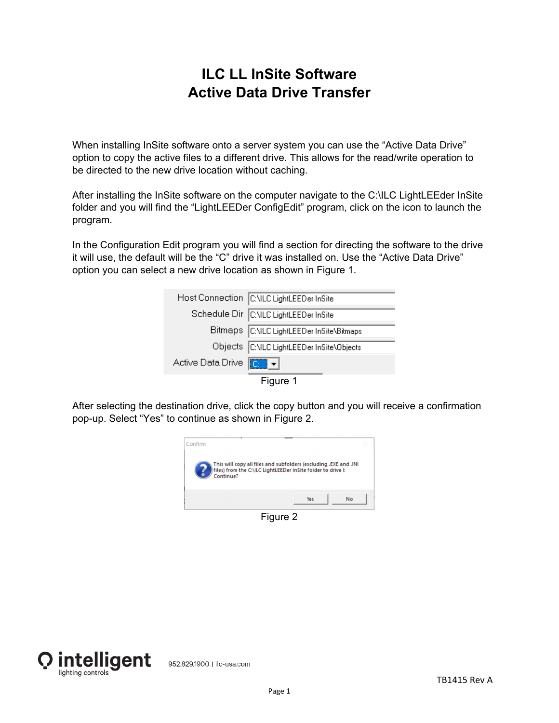## **ILC LL InSite Software Active Data Drive Transfer**

When installing InSite software onto a server system you can use the "Active Data Drive" option to copy the active files to a different drive. This allows for the read/write operation to be directed to the new drive location without caching.

After installing the InSite software on the computer navigate to the C:\ILC LightLEEder InSite folder and you will find the "LightLEEDer ConfigEdit" program, click on the icon to launch the program.

In the Configuration Edit program you will find a section for directing the software to the drive it will use, the default will be the "C" drive it was installed on. Use the "Active Data Drive" option you can select a new drive location as shown in Figure 1.

|                                   | Host Connection C:\ILC LightLEEDer InSite |
|-----------------------------------|-------------------------------------------|
|                                   | Schedule Dir C:\ILC LightLEEDer InSite    |
|                                   | Bitmaps C: VLC LightLEEDer InSite\Bitmaps |
|                                   | Objects C:\ILC LightLEEDer InSite\Objects |
| Active Data Drive <b>[Called]</b> |                                           |



After selecting the destination drive, click the copy button and you will receive a confirmation pop-up. Select "Yes" to continue as shown in Figure 2.



Figure 2